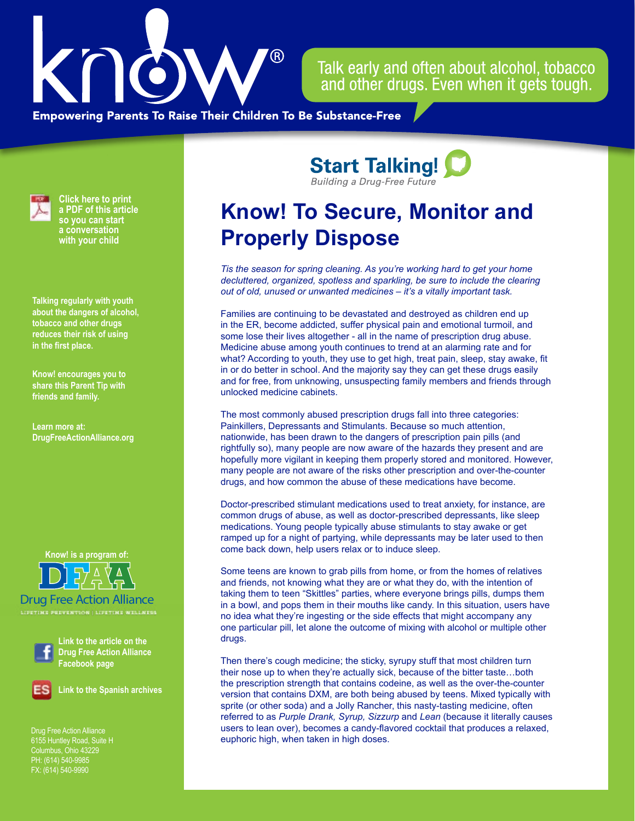

Talk early and often about alcohol, tobacco and other drugs. Even when it gets tough.

**Empowering Parents To Raise Their Children To Be Substance-Free** 



**Click here to print a PDF of this article so you can start a conversation with your child**

**Talking regularly with youth about the dangers of alcohol, tobacco and other drugs reduces their risk of using in the first place.**

**Know! encourages you to share this Parent Tip with friends and family.**

**Learn more at: [DrugFreeActionAlliance.org](https://www.drugfreeactionalliance.org/)**

**Know! is a program of:**

Drug Free Action Alliance



**Link to the article on the Drug Free Action Alliance Facebook page**

**Link to the Spanish archives**

Drug Free Action Alliance Columbus, Ohio 43229 PH: (614) 540-9985 FX: (614) 540-9990

**Start Talking! Building a Drug-Free Future** 

## **Know! To Secure, Monitor and Properly Dispose**

*Tis the season for spring cleaning. As you're working hard to get your home decluttered, organized, spotless and sparkling, be sure to include the clearing out of old, unused or unwanted medicines – it's a vitally important task.* 

Families are continuing to be devastated and destroyed as children end up in the ER, become addicted, suffer physical pain and emotional turmoil, and some lose their lives altogether - all in the name of prescription drug abuse. Medicine abuse among youth continues to trend at an alarming rate and for what? According to youth, they use to get high, treat pain, sleep, stay awake, fit in or do better in school. And the majority say they can get these drugs easily and for free, from unknowing, unsuspecting family members and friends through unlocked medicine cabinets.

The most commonly abused prescription drugs fall into three categories: Painkillers, Depressants and Stimulants. Because so much attention, nationwide, has been drawn to the dangers of prescription pain pills (and rightfully so), many people are now aware of the hazards they present and are hopefully more vigilant in keeping them properly stored and monitored. However, many people are not aware of the risks other prescription and over-the-counter drugs, and how common the abuse of these medications have become.

Doctor-prescribed stimulant medications used to treat anxiety, for instance, are common drugs of abuse, as well as doctor-prescribed depressants, like sleep medications. Young people typically abuse stimulants to stay awake or get ramped up for a night of partying, while depressants may be later used to then come back down, help users relax or to induce sleep.

Some teens are known to grab pills from home, or from the homes of relatives and friends, not knowing what they are or what they do, with the intention of taking them to teen "Skittles" parties, where everyone brings pills, dumps them in a bowl, and pops them in their mouths like candy. In this situation, users have no idea what they're ingesting or the side effects that might accompany any one particular pill, let alone the outcome of mixing with alcohol or multiple other drugs.

Then there's cough medicine; the sticky, syrupy stuff that most children turn their nose up to when they're actually sick, because of the bitter taste…both the prescription strength that contains codeine, as well as the over-the-counter version that contains DXM, are both being abused by teens. Mixed typically with sprite (or other soda) and a Jolly Rancher, this nasty-tasting medicine, often referred to as *Purple Drank, Syrup, Sizzurp* and *Lean* (because it literally causes users to lean over), becomes a candy-flavored cocktail that produces a relaxed, euphoric high, when taken in high doses.